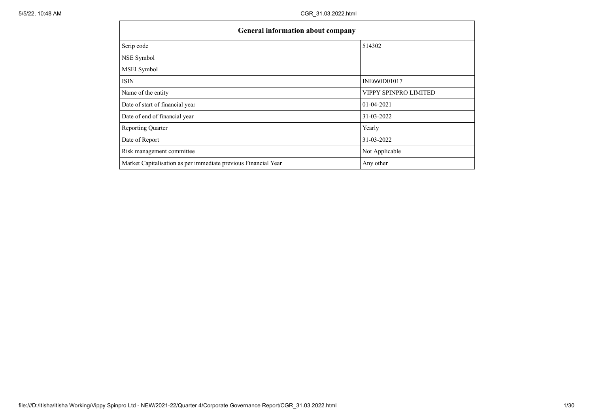| General information about company                              |                       |
|----------------------------------------------------------------|-----------------------|
| Scrip code                                                     | 514302                |
| NSE Symbol                                                     |                       |
| MSEI Symbol                                                    |                       |
| <b>ISIN</b>                                                    | INE660D01017          |
| Name of the entity                                             | VIPPY SPINPRO LIMITED |
| Date of start of financial year                                | 01-04-2021            |
| Date of end of financial year                                  | 31-03-2022            |
| <b>Reporting Quarter</b>                                       | Yearly                |
| Date of Report                                                 | 31-03-2022            |
| Risk management committee                                      | Not Applicable        |
| Market Capitalisation as per immediate previous Financial Year | Any other             |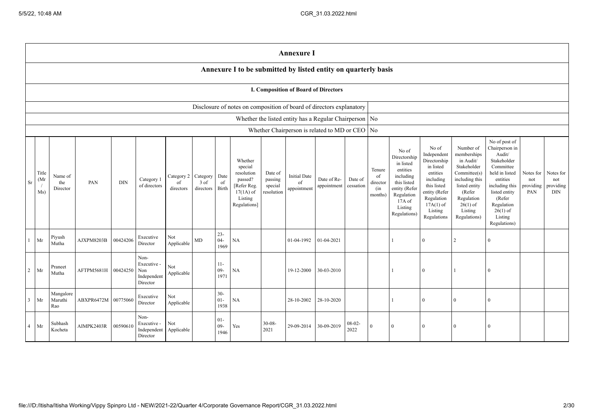|                |                                      |                                                                |            |            |                                                       |                               |                               |                          |                                                                                                      |                                             | <b>Annexure I</b>                        |                                                          |                      |                                            |                                                                                                                                                |                                                                                                                                                                   |                                                                                                                                                                          |                                                                                                                                                                                                         |                                      |                                      |
|----------------|--------------------------------------|----------------------------------------------------------------|------------|------------|-------------------------------------------------------|-------------------------------|-------------------------------|--------------------------|------------------------------------------------------------------------------------------------------|---------------------------------------------|------------------------------------------|----------------------------------------------------------|----------------------|--------------------------------------------|------------------------------------------------------------------------------------------------------------------------------------------------|-------------------------------------------------------------------------------------------------------------------------------------------------------------------|--------------------------------------------------------------------------------------------------------------------------------------------------------------------------|---------------------------------------------------------------------------------------------------------------------------------------------------------------------------------------------------------|--------------------------------------|--------------------------------------|
|                |                                      | Annexure I to be submitted by listed entity on quarterly basis |            |            |                                                       |                               |                               |                          |                                                                                                      |                                             |                                          |                                                          |                      |                                            |                                                                                                                                                |                                                                                                                                                                   |                                                                                                                                                                          |                                                                                                                                                                                                         |                                      |                                      |
|                | I. Composition of Board of Directors |                                                                |            |            |                                                       |                               |                               |                          |                                                                                                      |                                             |                                          |                                                          |                      |                                            |                                                                                                                                                |                                                                                                                                                                   |                                                                                                                                                                          |                                                                                                                                                                                                         |                                      |                                      |
|                |                                      |                                                                |            |            |                                                       |                               |                               |                          | Disclosure of notes on composition of board of directors explanatory                                 |                                             |                                          |                                                          |                      |                                            |                                                                                                                                                |                                                                                                                                                                   |                                                                                                                                                                          |                                                                                                                                                                                                         |                                      |                                      |
|                |                                      |                                                                |            |            |                                                       |                               |                               |                          |                                                                                                      |                                             |                                          | Whether the listed entity has a Regular Chairperson   No |                      |                                            |                                                                                                                                                |                                                                                                                                                                   |                                                                                                                                                                          |                                                                                                                                                                                                         |                                      |                                      |
|                |                                      |                                                                |            |            |                                                       |                               |                               |                          |                                                                                                      |                                             |                                          | Whether Chairperson is related to MD or CEO No           |                      |                                            |                                                                                                                                                |                                                                                                                                                                   |                                                                                                                                                                          |                                                                                                                                                                                                         |                                      |                                      |
| Sr             | Title<br>(Mr)<br>Ms)                 | Name of<br>the<br>Director                                     | PAN        | <b>DIN</b> | Category 1<br>of directors                            | Category 2<br>of<br>directors | Category<br>3 of<br>directors | Date<br>of<br>Birth      | Whether<br>special<br>resolution<br>passed?<br>[Refer Reg.<br>$17(1A)$ of<br>Listing<br>Regulations] | Date of<br>passing<br>special<br>resolution | <b>Initial Date</b><br>of<br>appointment | Date of Re-<br>appointment                               | Date of<br>cessation | Tenure<br>of<br>director<br>(in<br>months) | No of<br>Directorship<br>in listed<br>entities<br>including<br>this listed<br>entity (Refer<br>Regulation<br>17A of<br>Listing<br>Regulations) | No of<br>Independent<br>Directorship<br>in listed<br>entities<br>including<br>this listed<br>entity (Refer<br>Regulation<br>$17A(1)$ of<br>Listing<br>Regulations | Number of<br>memberships<br>in Audit/<br>Stakeholder<br>Committee(s)<br>including this<br>listed entity<br>(Refer<br>Regulation<br>$26(1)$ of<br>Listing<br>Regulations) | No of post of<br>Chairperson in<br>Audit/<br>Stakeholder<br>Committee<br>held in listed<br>entities<br>including this<br>listed entity<br>(Refer<br>Regulation<br>$26(1)$ of<br>Listing<br>Regulations) | Notes for<br>not<br>providing<br>PAN | Notes for<br>not<br>providing<br>DIN |
|                | Mr                                   | Piyush<br>Mutha                                                | AJXPM8203B | 00424206   | Executive<br>Director                                 | Not<br>Applicable             | MD                            | $23 -$<br>$04 -$<br>1969 | NA                                                                                                   |                                             | 01-04-1992                               | $01 - 04 - 2021$                                         |                      |                                            |                                                                                                                                                |                                                                                                                                                                   | 2                                                                                                                                                                        | $\theta$                                                                                                                                                                                                |                                      |                                      |
| $\overline{2}$ | Mr                                   | Praneet<br>Mutha                                               | AFTPM5681H | 00424250   | Non-<br>Executive -<br>Non<br>Independent<br>Director | Not<br>Applicable             |                               | $11 -$<br>$09 -$<br>1971 | NA                                                                                                   |                                             | 19-12-2000                               | 30-03-2010                                               |                      |                                            |                                                                                                                                                | $\Omega$                                                                                                                                                          | $\overline{1}$                                                                                                                                                           | $\theta$                                                                                                                                                                                                |                                      |                                      |
| $\overline{3}$ | Mr                                   | Mangalore<br>Maruthi<br>Rao                                    | ABXPR6472M | 00775060   | Executive<br>Director                                 | Not<br>Applicable             |                               | $30 -$<br>$01 -$<br>1938 | NA                                                                                                   |                                             | 28-10-2002                               | 28-10-2020                                               |                      |                                            |                                                                                                                                                | 0                                                                                                                                                                 | $\Omega$                                                                                                                                                                 | $\Omega$                                                                                                                                                                                                |                                      |                                      |
| $\overline{4}$ | Mr                                   | Subhash<br>Kocheta                                             | AIMPK2403R | 00590610   | Non-<br>Executive -<br>Independent<br>Director        | Not<br>Applicable             |                               | $01 -$<br>$09-$<br>1946  | Yes                                                                                                  | $30 - 08 -$<br>2021                         | 29-09-2014                               | 30-09-2019                                               | $08-02$<br>2022      | $\overline{0}$                             | 0                                                                                                                                              |                                                                                                                                                                   | $\Omega$                                                                                                                                                                 | $\Omega$                                                                                                                                                                                                |                                      |                                      |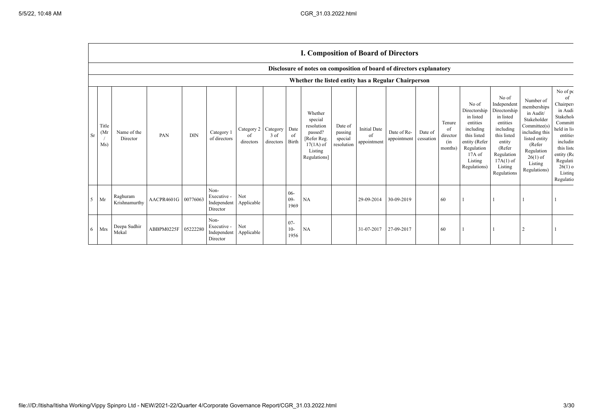|                |                                                                      |                                                     |                     |            |                                                |                                        |                   |                         | <b>I. Composition of Board of Directors</b>                                                          |                                             |                                          |                            |                      |                                            |                                                                                                                                                  |                                                                                                                                                                      |                                                                                                                                                                          |                                                                                                                                                                                   |
|----------------|----------------------------------------------------------------------|-----------------------------------------------------|---------------------|------------|------------------------------------------------|----------------------------------------|-------------------|-------------------------|------------------------------------------------------------------------------------------------------|---------------------------------------------|------------------------------------------|----------------------------|----------------------|--------------------------------------------|--------------------------------------------------------------------------------------------------------------------------------------------------|----------------------------------------------------------------------------------------------------------------------------------------------------------------------|--------------------------------------------------------------------------------------------------------------------------------------------------------------------------|-----------------------------------------------------------------------------------------------------------------------------------------------------------------------------------|
|                | Disclosure of notes on composition of board of directors explanatory |                                                     |                     |            |                                                |                                        |                   |                         |                                                                                                      |                                             |                                          |                            |                      |                                            |                                                                                                                                                  |                                                                                                                                                                      |                                                                                                                                                                          |                                                                                                                                                                                   |
|                |                                                                      | Whether the listed entity has a Regular Chairperson |                     |            |                                                |                                        |                   |                         |                                                                                                      |                                             |                                          |                            |                      |                                            |                                                                                                                                                  |                                                                                                                                                                      |                                                                                                                                                                          |                                                                                                                                                                                   |
| Sr             | Title<br>(Mr)<br>Ms)                                                 | Name of the<br>Director                             | PAN                 | <b>DIN</b> | Category 1<br>of directors                     | Category 2 Category<br>οf<br>directors | 3 of<br>directors | Date<br>of<br>Birth     | Whether<br>special<br>resolution<br>passed?<br>[Refer Reg.<br>$17(1A)$ of<br>Listing<br>Regulations] | Date of<br>passing<br>special<br>resolution | <b>Initial Date</b><br>of<br>appointment | Date of Re-<br>appointment | Date of<br>cessation | Tenure<br>of<br>director<br>(in<br>months) | No of<br>Directorship<br>in listed<br>entities<br>including<br>this listed<br>entity (Refer<br>Regulation<br>$17A$ of<br>Listing<br>Regulations) | No of<br>Independent<br>Directorship<br>in listed<br>entities<br>including<br>this listed<br>entity<br>(Refer<br>Regulation<br>$17A(1)$ of<br>Listing<br>Regulations | Number of<br>memberships<br>in Audit/<br>Stakeholder<br>Committee(s)<br>including this<br>listed entity<br>(Refer<br>Regulation<br>$26(1)$ of<br>Listing<br>Regulations) | No of pc<br>of<br>Chairpers<br>in Audi<br>Stakehol<br>Committ<br>held in lis<br>entities<br>includir<br>this liste<br>entity (Re<br>Regulati<br>$26(1)$ o<br>Listing<br>Regulatio |
| 5 <sup>7</sup> | Mr                                                                   | Raghuram<br>Krishnamurthy                           | AACPR4601G 00776063 |            | Non-<br>Executive -<br>Independent<br>Director | Not<br>Applicable                      |                   | $06 -$<br>$09-$<br>1969 | <b>NA</b>                                                                                            |                                             | 29-09-2014                               | 30-09-2019                 |                      | 60                                         |                                                                                                                                                  |                                                                                                                                                                      |                                                                                                                                                                          |                                                                                                                                                                                   |
|                | 6 Mrs                                                                | Deepa Sudhir<br>Mekal                               | ABBPM0225F 05222280 |            | Non-<br>Executive -<br>Independent<br>Director | Not<br>Applicable                      |                   | $07 -$<br>$10-$<br>1956 | <b>NA</b>                                                                                            |                                             | 31-07-2017                               | 27-09-2017                 |                      | 60                                         |                                                                                                                                                  |                                                                                                                                                                      |                                                                                                                                                                          |                                                                                                                                                                                   |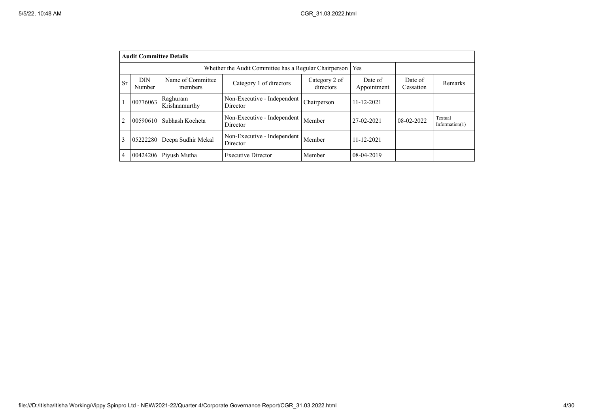|                | <b>Audit Committee Details</b> |                                                       |                                         |                            |                        |                      |                              |  |  |  |
|----------------|--------------------------------|-------------------------------------------------------|-----------------------------------------|----------------------------|------------------------|----------------------|------------------------------|--|--|--|
|                |                                | Whether the Audit Committee has a Regular Chairperson | Yes                                     |                            |                        |                      |                              |  |  |  |
| <b>Sr</b>      | DIN<br>Number                  | Name of Committee<br>members                          | Category 1 of directors                 | Category 2 of<br>directors | Date of<br>Appointment | Date of<br>Cessation | Remarks                      |  |  |  |
| л.             | 00776063                       | Raghuram<br>Krishnamurthy                             | Non-Executive - Independent<br>Director | Chairperson                | $11 - 12 - 2021$       |                      |                              |  |  |  |
| $\overline{2}$ | 00590610                       | Subhash Kocheta                                       | Non-Executive - Independent<br>Director | Member                     | 27-02-2021             | 08-02-2022           | Textual<br>Information $(1)$ |  |  |  |
| 3              | 05222280                       | Deepa Sudhir Mekal                                    | Non-Executive - Independent<br>Director | Member                     | $11 - 12 - 2021$       |                      |                              |  |  |  |
| 4              | 00424206                       | Piyush Mutha                                          | <b>Executive Director</b>               | Member                     | 08-04-2019             |                      |                              |  |  |  |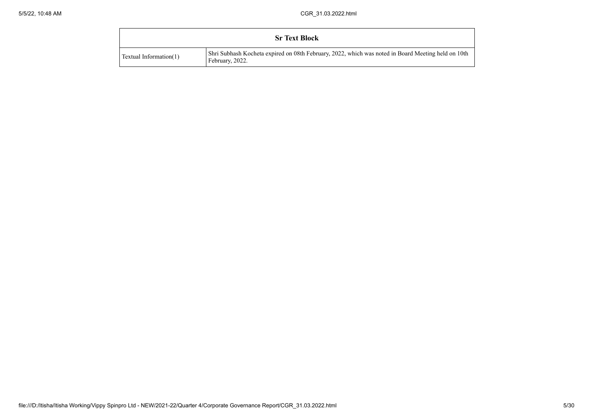|                               | <b>Sr Text Block</b>                                                                                                       |
|-------------------------------|----------------------------------------------------------------------------------------------------------------------------|
| <b>Textual Information(1)</b> | Shri Subhash Kocheta expired on 08th February, 2022, which was noted in Board Meeting held on 10th Shri<br>February, 2022. |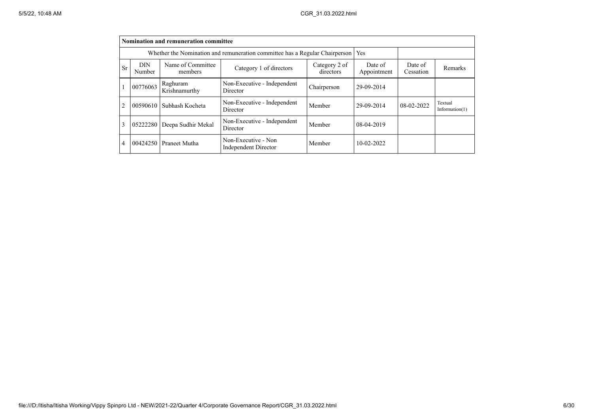|    | <b>Nomination and remuneration committee</b>                                      |                              |                                                    |                        |                      |            |                              |  |  |
|----|-----------------------------------------------------------------------------------|------------------------------|----------------------------------------------------|------------------------|----------------------|------------|------------------------------|--|--|
|    | Whether the Nomination and remuneration committee has a Regular Chairperson   Yes |                              |                                                    |                        |                      |            |                              |  |  |
| Sr | <b>DIN</b><br>Number                                                              | Name of Committee<br>members | Category 2 of<br>directors                         | Date of<br>Appointment | Date of<br>Cessation | Remarks    |                              |  |  |
|    | 00776063                                                                          | Raghuram<br>Krishnamurthy    | Non-Executive - Independent<br>Director            | Chairperson            | 29-09-2014           |            |                              |  |  |
| 2  | 00590610                                                                          | Subhash Kocheta              | Non-Executive - Independent<br>Director            | Member                 | 29-09-2014           | 08-02-2022 | Textual<br>Information $(1)$ |  |  |
| 3  |                                                                                   | 05222280 Deepa Sudhir Mekal  | Non-Executive - Independent<br>Director            | Member                 | 08-04-2019           |            |                              |  |  |
| 4  |                                                                                   | 00424250 Praneet Mutha       | Non-Executive - Non<br><b>Independent Director</b> | Member                 | $10-02-2022$         |            |                              |  |  |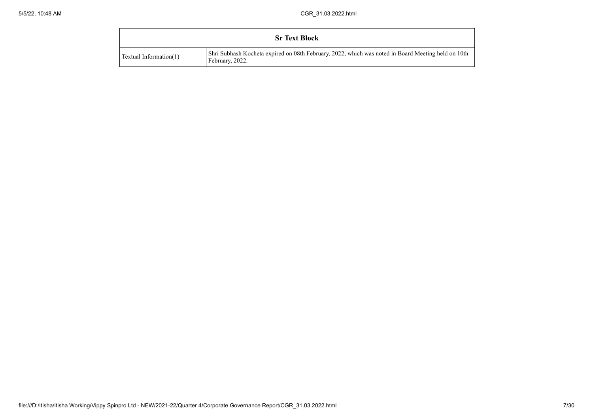|                               | <b>Sr Text Block</b>                                                                                                       |
|-------------------------------|----------------------------------------------------------------------------------------------------------------------------|
| <b>Textual Information(1)</b> | Shri Subhash Kocheta expired on 08th February, 2022, which was noted in Board Meeting held on 10th Shri<br>February, 2022. |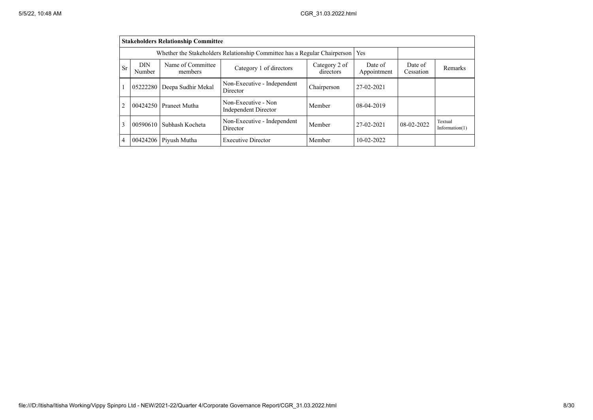|                | <b>Stakeholders Relationship Committee</b>                                                                    |                                                                           |                                                    |             |                        |                      |                              |  |  |  |
|----------------|---------------------------------------------------------------------------------------------------------------|---------------------------------------------------------------------------|----------------------------------------------------|-------------|------------------------|----------------------|------------------------------|--|--|--|
|                |                                                                                                               | Whether the Stakeholders Relationship Committee has a Regular Chairperson |                                                    | Yes         |                        |                      |                              |  |  |  |
| <b>Sr</b>      | Name of Committee<br><b>DIN</b><br>Category 2 of<br>Category 1 of directors<br>directors<br>Number<br>members |                                                                           |                                                    |             | Date of<br>Appointment | Date of<br>Cessation | Remarks                      |  |  |  |
|                | 05222280                                                                                                      | Deepa Sudhir Mekal                                                        | Non-Executive - Independent<br>Director            | Chairperson | 27-02-2021             |                      |                              |  |  |  |
| $\mathcal{L}$  | 00424250                                                                                                      | Praneet Mutha                                                             | Non-Executive - Non<br><b>Independent Director</b> | Member      | 08-04-2019             |                      |                              |  |  |  |
| $\mathcal{E}$  | 00590610                                                                                                      | Subhash Kocheta                                                           | Non-Executive - Independent<br>Director            | Member      | 27-02-2021             | $08-02-2022$         | Textual<br>Information $(1)$ |  |  |  |
| $\overline{4}$ | 00424206                                                                                                      | Pivush Mutha                                                              | <b>Executive Director</b>                          | Member      | $10-02-2022$           |                      |                              |  |  |  |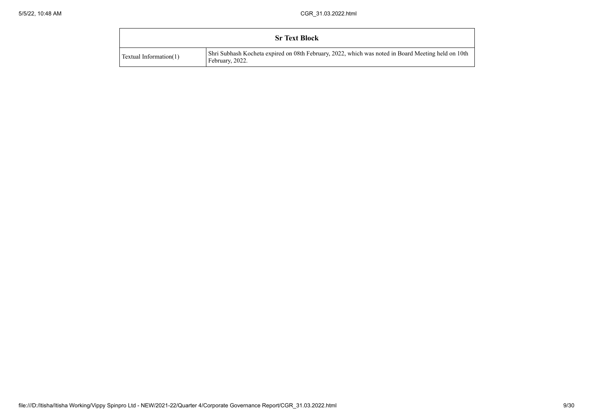|                               | <b>Sr Text Block</b>                                                                                                       |
|-------------------------------|----------------------------------------------------------------------------------------------------------------------------|
| <b>Textual Information(1)</b> | Shri Subhash Kocheta expired on 08th February, 2022, which was noted in Board Meeting held on 10th Shri<br>February, 2022. |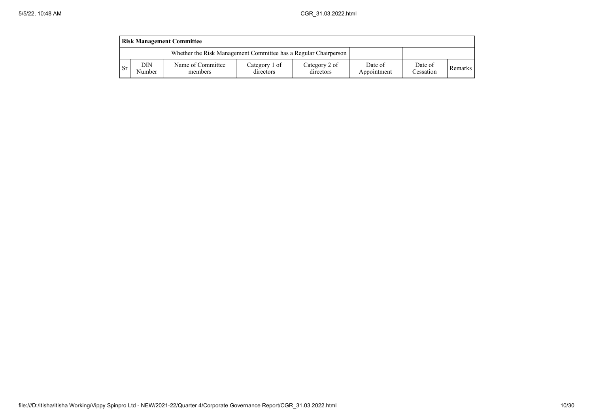|      | <b>Risk Management Committee</b> |                                                                 |                            |                            |                        |                      |         |  |  |  |
|------|----------------------------------|-----------------------------------------------------------------|----------------------------|----------------------------|------------------------|----------------------|---------|--|--|--|
|      |                                  | Whether the Risk Management Committee has a Regular Chairperson |                            |                            |                        |                      |         |  |  |  |
| l Sr | <b>DIN</b><br>Number             | Name of Committee<br>members                                    | Category 1 of<br>directors | Category 2 of<br>directors | Date of<br>Appointment | Date of<br>Cessation | Remarks |  |  |  |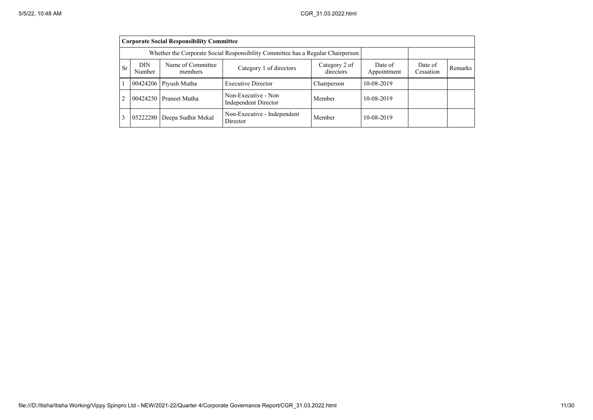|                | <b>Corporate Social Responsibility Committee</b> |                                                                                 |                                             |                            |                        |                      |         |  |  |
|----------------|--------------------------------------------------|---------------------------------------------------------------------------------|---------------------------------------------|----------------------------|------------------------|----------------------|---------|--|--|
|                |                                                  | Whether the Corporate Social Responsibility Committee has a Regular Chairperson |                                             |                            |                        |                      |         |  |  |
| <b>Sr</b>      | <b>DIN</b><br>Number                             | Name of Committee<br>members                                                    | Category 1 of directors                     | Category 2 of<br>directors | Date of<br>Appointment | Date of<br>Cessation | Remarks |  |  |
|                |                                                  | $00424206$ Piyush Mutha                                                         | <b>Executive Director</b>                   | Chairperson                | 10-08-2019             |                      |         |  |  |
| $\overline{2}$ |                                                  | 00424250 Praneet Mutha                                                          | Non-Executive - Non<br>Independent Director | Member                     | 10-08-2019             |                      |         |  |  |
| 3              |                                                  | 05222280 Deepa Sudhir Mekal                                                     | Non-Executive - Independent<br>Director     | Member                     | 10-08-2019             |                      |         |  |  |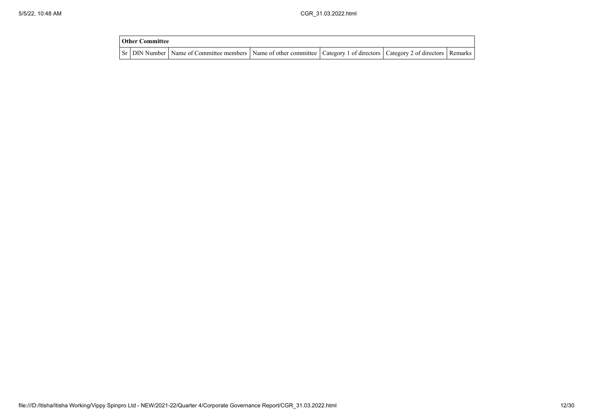| <b>Other Committee</b> |                                                                                                                                     |  |  |
|------------------------|-------------------------------------------------------------------------------------------------------------------------------------|--|--|
|                        | Sr   DIN Number   Name of Committee members   Name of other committee   Category 1 of directors   Category 2 of directors   Remarks |  |  |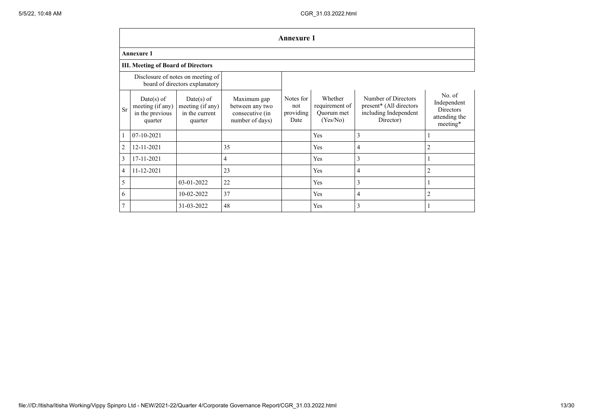|                | <b>Annexure 1</b>                                                   |                                                               |                                                                      |                                       |                                                     |                                                                                      |                                                                        |  |  |  |  |
|----------------|---------------------------------------------------------------------|---------------------------------------------------------------|----------------------------------------------------------------------|---------------------------------------|-----------------------------------------------------|--------------------------------------------------------------------------------------|------------------------------------------------------------------------|--|--|--|--|
|                | <b>Annexure 1</b>                                                   |                                                               |                                                                      |                                       |                                                     |                                                                                      |                                                                        |  |  |  |  |
|                | <b>III. Meeting of Board of Directors</b>                           |                                                               |                                                                      |                                       |                                                     |                                                                                      |                                                                        |  |  |  |  |
|                | Disclosure of notes on meeting of<br>board of directors explanatory |                                                               |                                                                      |                                       |                                                     |                                                                                      |                                                                        |  |  |  |  |
| <b>Sr</b>      | $Date(s)$ of<br>meeting (if any)<br>in the previous<br>quarter      | $Date(s)$ of<br>meeting (if any)<br>in the current<br>quarter | Maximum gap<br>between any two<br>consecutive (in<br>number of days) | Notes for<br>not<br>providing<br>Date | Whether<br>requirement of<br>Ouorum met<br>(Yes/No) | Number of Directors<br>present* (All directors<br>including Independent<br>Director) | No. of<br>Independent<br><b>Directors</b><br>attending the<br>meeting* |  |  |  |  |
| $\mathbf{1}$   | 07-10-2021                                                          |                                                               |                                                                      |                                       | Yes                                                 | 3                                                                                    |                                                                        |  |  |  |  |
| $\overline{c}$ | 12-11-2021                                                          |                                                               | 35                                                                   |                                       | Yes                                                 | 4                                                                                    | $\overline{2}$                                                         |  |  |  |  |
| 3              | 17-11-2021                                                          |                                                               | 4                                                                    |                                       | Yes                                                 | 3                                                                                    |                                                                        |  |  |  |  |
| 4              | 11-12-2021                                                          |                                                               | 23                                                                   |                                       | Yes                                                 | 4                                                                                    | $\overline{2}$                                                         |  |  |  |  |
| 5              |                                                                     | 03-01-2022                                                    | 22                                                                   |                                       | Yes                                                 | 3                                                                                    |                                                                        |  |  |  |  |
| 6              |                                                                     | 10-02-2022                                                    | 37                                                                   |                                       | Yes                                                 | 4                                                                                    | $\overline{2}$                                                         |  |  |  |  |
| $\overline{7}$ |                                                                     | 31-03-2022                                                    | 48                                                                   |                                       | Yes                                                 | 3                                                                                    |                                                                        |  |  |  |  |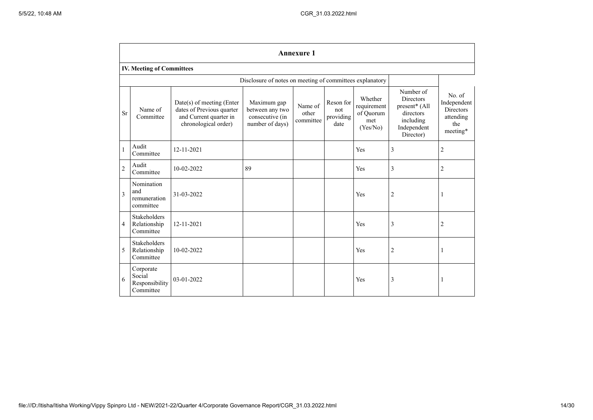|                | <b>Annexure 1</b>                                        |                                                                                                            |                                                                      |                               |                                       |                                                        |                                                                                                      |                                                                           |  |  |
|----------------|----------------------------------------------------------|------------------------------------------------------------------------------------------------------------|----------------------------------------------------------------------|-------------------------------|---------------------------------------|--------------------------------------------------------|------------------------------------------------------------------------------------------------------|---------------------------------------------------------------------------|--|--|
|                | <b>IV. Meeting of Committees</b>                         |                                                                                                            |                                                                      |                               |                                       |                                                        |                                                                                                      |                                                                           |  |  |
|                | Disclosure of notes on meeting of committees explanatory |                                                                                                            |                                                                      |                               |                                       |                                                        |                                                                                                      |                                                                           |  |  |
| <b>Sr</b>      | Name of<br>Committee                                     | $Date(s)$ of meeting (Enter<br>dates of Previous quarter<br>and Current quarter in<br>chronological order) | Maximum gap<br>between any two<br>consecutive (in<br>number of days) | Name of<br>other<br>committee | Reson for<br>not<br>providing<br>date | Whether<br>requirement<br>of Quorum<br>met<br>(Yes/No) | Number of<br><b>Directors</b><br>present* (All<br>directors<br>including<br>Independent<br>Director) | No. of<br>Independent<br><b>Directors</b><br>attending<br>the<br>meeting* |  |  |
| $\mathbf{1}$   | Audit<br>Committee                                       | 12-11-2021                                                                                                 |                                                                      |                               |                                       | Yes                                                    | 3                                                                                                    | $\overline{2}$                                                            |  |  |
| $\overline{2}$ | Audit<br>Committee                                       | 10-02-2022                                                                                                 | 89                                                                   |                               |                                       | Yes                                                    | 3                                                                                                    | $\overline{2}$                                                            |  |  |
| 3              | Nomination<br>and<br>remuneration<br>committee           | 31-03-2022                                                                                                 |                                                                      |                               |                                       | Yes                                                    | $\overline{2}$                                                                                       | 1                                                                         |  |  |
| 4              | <b>Stakeholders</b><br>Relationship<br>Committee         | 12-11-2021                                                                                                 |                                                                      |                               |                                       | Yes                                                    | 3                                                                                                    | $\overline{2}$                                                            |  |  |
| 5              | <b>Stakeholders</b><br>Relationship<br>Committee         | 10-02-2022                                                                                                 |                                                                      |                               |                                       | Yes                                                    | $\overline{c}$                                                                                       | $\mathbf{1}$                                                              |  |  |
| 6              | Corporate<br>Social<br>Responsibility<br>Committee       | $03-01-2022$                                                                                               |                                                                      |                               |                                       | Yes                                                    | 3                                                                                                    | -1                                                                        |  |  |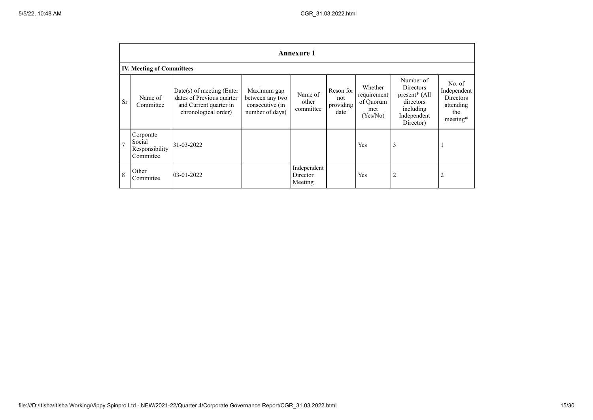|                | <b>Annexure 1</b>                                  |                                                                                                            |                                                                      |                                    |                                       |                                                        |                                                                                               |                                                                           |
|----------------|----------------------------------------------------|------------------------------------------------------------------------------------------------------------|----------------------------------------------------------------------|------------------------------------|---------------------------------------|--------------------------------------------------------|-----------------------------------------------------------------------------------------------|---------------------------------------------------------------------------|
|                | <b>IV. Meeting of Committees</b>                   |                                                                                                            |                                                                      |                                    |                                       |                                                        |                                                                                               |                                                                           |
| <b>Sr</b>      | Name of<br>Committee                               | $Date(s)$ of meeting (Enter<br>dates of Previous quarter<br>and Current quarter in<br>chronological order) | Maximum gap<br>between any two<br>consecutive (in<br>number of days) | Name of<br>other<br>committee      | Reson for<br>not<br>providing<br>date | Whether<br>requirement<br>of Quorum<br>met<br>(Yes/No) | Number of<br>Directors<br>present* (All<br>directors<br>including<br>Independent<br>Director) | No. of<br>Independent<br><b>Directors</b><br>attending<br>the<br>meeting* |
| $\overline{7}$ | Corporate<br>Social<br>Responsibility<br>Committee | 31-03-2022                                                                                                 |                                                                      |                                    |                                       | Yes                                                    | 3                                                                                             | $\mathbf{I}$                                                              |
| 8              | Other<br>Committee                                 | 03-01-2022                                                                                                 |                                                                      | Independent<br>Director<br>Meeting |                                       | Yes                                                    | $\overline{2}$                                                                                | $\overline{2}$                                                            |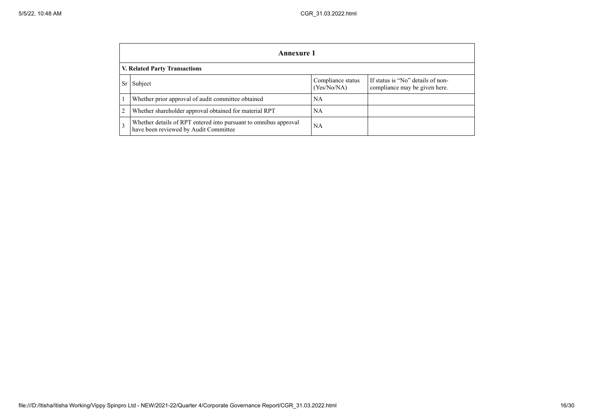|                         | Annexure 1                                                                                                |                                  |                                                                    |  |  |  |  |
|-------------------------|-----------------------------------------------------------------------------------------------------------|----------------------------------|--------------------------------------------------------------------|--|--|--|--|
|                         | <b>V. Related Party Transactions</b>                                                                      |                                  |                                                                    |  |  |  |  |
| Sr                      | Subject                                                                                                   | Compliance status<br>(Yes/No/NA) | If status is "No" details of non-<br>compliance may be given here. |  |  |  |  |
|                         | Whether prior approval of audit committee obtained                                                        | <b>NA</b>                        |                                                                    |  |  |  |  |
| $\overline{2}$          | Whether shareholder approval obtained for material RPT                                                    | <b>NA</b>                        |                                                                    |  |  |  |  |
| $\overline{\mathbf{3}}$ | Whether details of RPT entered into pursuant to omnibus approval<br>have been reviewed by Audit Committee | <b>NA</b>                        |                                                                    |  |  |  |  |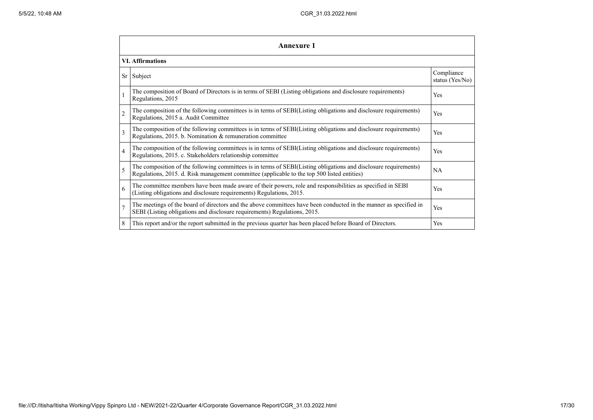|                 | Annexure 1                                                                                                                                                                                                      |                               |  |  |  |  |  |  |
|-----------------|-----------------------------------------------------------------------------------------------------------------------------------------------------------------------------------------------------------------|-------------------------------|--|--|--|--|--|--|
|                 | <b>VI.</b> Affirmations                                                                                                                                                                                         |                               |  |  |  |  |  |  |
| Sr <sub>1</sub> | Subject                                                                                                                                                                                                         | Compliance<br>status (Yes/No) |  |  |  |  |  |  |
|                 | The composition of Board of Directors is in terms of SEBI (Listing obligations and disclosure requirements)<br>Regulations, 2015                                                                                | Yes                           |  |  |  |  |  |  |
| $\overline{2}$  | The composition of the following committees is in terms of SEBI(Listing obligations and disclosure requirements)<br>Regulations, 2015 a. Audit Committee                                                        | <b>Yes</b>                    |  |  |  |  |  |  |
| 3               | The composition of the following committees is in terms of SEBI(Listing obligations and disclosure requirements)<br>Regulations, 2015. b. Nomination & remuneration committee                                   | <b>Yes</b>                    |  |  |  |  |  |  |
| $\overline{4}$  | The composition of the following committees is in terms of SEBI(Listing obligations and disclosure requirements)<br>Regulations, 2015. c. Stakeholders relationship committee                                   | Yes                           |  |  |  |  |  |  |
| 5               | The composition of the following committees is in terms of SEBI(Listing obligations and disclosure requirements)<br>Regulations, 2015. d. Risk management committee (applicable to the top 500 listed entities) | NA                            |  |  |  |  |  |  |
| 6               | The committee members have been made aware of their powers, role and responsibilities as specified in SEBI<br>(Listing obligations and disclosure requirements) Regulations, 2015.                              | Yes                           |  |  |  |  |  |  |
| $\overline{7}$  | The meetings of the board of directors and the above committees have been conducted in the manner as specified in<br>SEBI (Listing obligations and disclosure requirements) Regulations, 2015.                  | <b>Yes</b>                    |  |  |  |  |  |  |
| 8               | This report and/or the report submitted in the previous quarter has been placed before Board of Directors.                                                                                                      | <b>Yes</b>                    |  |  |  |  |  |  |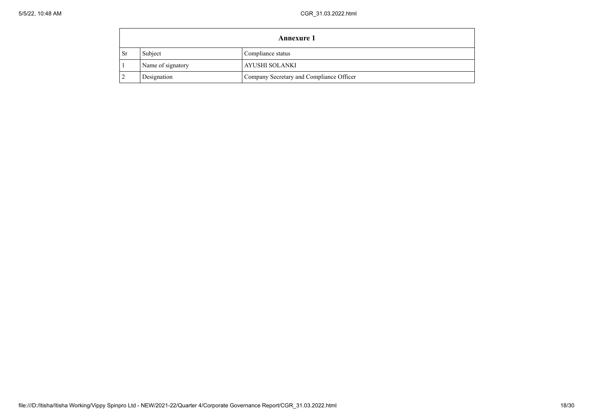|           | <b>Annexure 1</b> |                                          |  |  |  |  |
|-----------|-------------------|------------------------------------------|--|--|--|--|
| <b>Sr</b> | Subject           | Compliance status                        |  |  |  |  |
|           | Name of signatory | AYUSHI SOLANKI                           |  |  |  |  |
|           | Designation       | Company Secretary and Compliance Officer |  |  |  |  |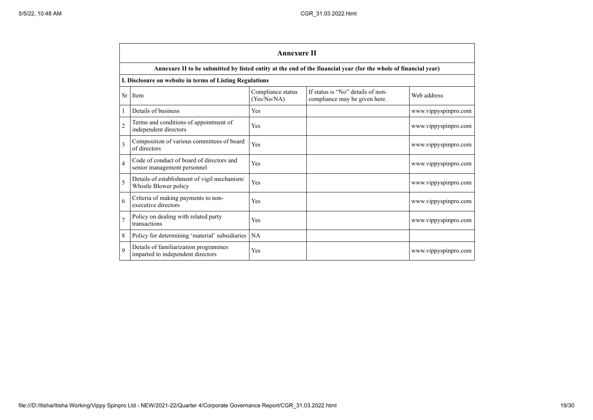|                | <b>Annexure II</b>                                                         |                                  |                                                                                                                 |                      |  |  |  |
|----------------|----------------------------------------------------------------------------|----------------------------------|-----------------------------------------------------------------------------------------------------------------|----------------------|--|--|--|
|                |                                                                            |                                  | Annexure II to be submitted by listed entity at the end of the financial year (for the whole of financial year) |                      |  |  |  |
|                | I. Disclosure on website in terms of Listing Regulations                   |                                  |                                                                                                                 |                      |  |  |  |
| Sr             | Item                                                                       | Compliance status<br>(Yes/No/NA) | If status is "No" details of non-<br>compliance may be given here.                                              | Web address          |  |  |  |
|                | Details of business                                                        | Yes                              |                                                                                                                 | www.vippyspinpro.com |  |  |  |
| $\overline{c}$ | Terms and conditions of appointment of<br>independent directors            | Yes                              |                                                                                                                 | www.vippyspinpro.com |  |  |  |
| 3              | Composition of various committees of board<br>of directors                 | Yes                              |                                                                                                                 | www.vippyspinpro.com |  |  |  |
| 4              | Code of conduct of board of directors and<br>senior management personnel   | Yes                              |                                                                                                                 | www.vippyspinpro.com |  |  |  |
| 5              | Details of establishment of vigil mechanism/<br>Whistle Blower policy      | Yes                              |                                                                                                                 | www.vippyspinpro.com |  |  |  |
| 6              | Criteria of making payments to non-<br>executive directors                 | Yes                              |                                                                                                                 | www.vippyspinpro.com |  |  |  |
|                | Policy on dealing with related party<br>transactions                       | Yes                              |                                                                                                                 | www.vippyspinpro.com |  |  |  |
| 8              | Policy for determining 'material' subsidiaries                             | NA                               |                                                                                                                 |                      |  |  |  |
| $\mathbf Q$    | Details of familiarization programmes<br>imparted to independent directors | Yes                              |                                                                                                                 | www.vippyspinpro.com |  |  |  |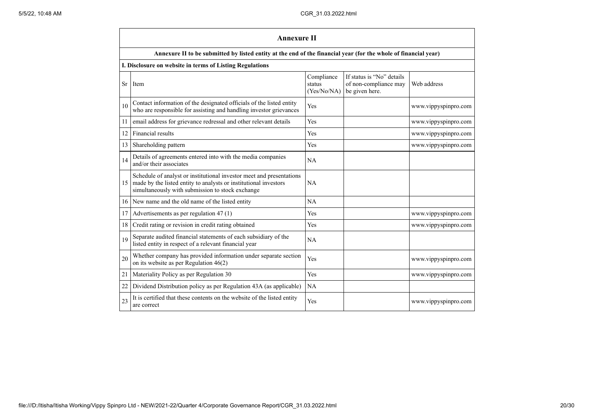|           | <b>Annexure II</b>                                                                                                                                                                           |                                     |                                                                      |                      |  |  |  |
|-----------|----------------------------------------------------------------------------------------------------------------------------------------------------------------------------------------------|-------------------------------------|----------------------------------------------------------------------|----------------------|--|--|--|
|           | Annexure II to be submitted by listed entity at the end of the financial year (for the whole of financial year)                                                                              |                                     |                                                                      |                      |  |  |  |
|           | I. Disclosure on website in terms of Listing Regulations                                                                                                                                     |                                     |                                                                      |                      |  |  |  |
| <b>Sr</b> | Item                                                                                                                                                                                         | Compliance<br>status<br>(Yes/No/NA) | If status is "No" details<br>of non-compliance may<br>be given here. | Web address          |  |  |  |
| 10        | Contact information of the designated officials of the listed entity<br>who are responsible for assisting and handling investor grievances                                                   | Yes                                 |                                                                      | www.vippyspinpro.com |  |  |  |
| 11        | email address for grievance redressal and other relevant details                                                                                                                             | Yes                                 |                                                                      | www.vippyspinpro.com |  |  |  |
| 12        | Financial results                                                                                                                                                                            | Yes                                 |                                                                      | www.vippyspinpro.com |  |  |  |
| 13        | Shareholding pattern                                                                                                                                                                         | Yes                                 |                                                                      | www.vippyspinpro.com |  |  |  |
| 14        | Details of agreements entered into with the media companies<br>and/or their associates                                                                                                       | NA                                  |                                                                      |                      |  |  |  |
| 15        | Schedule of analyst or institutional investor meet and presentations<br>made by the listed entity to analysts or institutional investors<br>simultaneously with submission to stock exchange | NA                                  |                                                                      |                      |  |  |  |
| 16        | New name and the old name of the listed entity                                                                                                                                               | NA                                  |                                                                      |                      |  |  |  |
| 17        | Advertisements as per regulation 47 (1)                                                                                                                                                      | Yes                                 |                                                                      | www.vippyspinpro.com |  |  |  |
| 18        | Credit rating or revision in credit rating obtained                                                                                                                                          | Yes                                 |                                                                      | www.vippyspinpro.com |  |  |  |
| 19        | Separate audited financial statements of each subsidiary of the<br>listed entity in respect of a relevant financial year                                                                     | NA                                  |                                                                      |                      |  |  |  |
| 20        | Whether company has provided information under separate section<br>on its website as per Regulation $46(2)$                                                                                  | Yes                                 |                                                                      | www.vippyspinpro.com |  |  |  |
| 21        | Materiality Policy as per Regulation 30                                                                                                                                                      | Yes                                 |                                                                      | www.vippyspinpro.com |  |  |  |
| 22        | Dividend Distribution policy as per Regulation 43A (as applicable)                                                                                                                           | NA                                  |                                                                      |                      |  |  |  |
| 23        | It is certified that these contents on the website of the listed entity<br>are correct                                                                                                       | Yes                                 |                                                                      | www.vippyspinpro.com |  |  |  |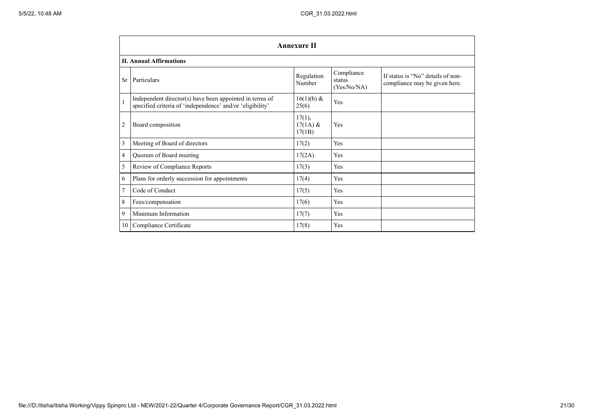|                | <b>Annexure II</b>                                                                                                   |                                |                                     |                                                                    |  |  |  |
|----------------|----------------------------------------------------------------------------------------------------------------------|--------------------------------|-------------------------------------|--------------------------------------------------------------------|--|--|--|
|                | <b>II. Annual Affirmations</b>                                                                                       |                                |                                     |                                                                    |  |  |  |
| Sr             | Particulars                                                                                                          | Regulation<br>Number           | Compliance<br>status<br>(Yes/No/NA) | If status is "No" details of non-<br>compliance may be given here. |  |  |  |
| $\mathbf{1}$   | Independent director(s) have been appointed in terms of<br>specified criteria of 'independence' and/or 'eligibility' | $16(1)(b) \&$<br>25(6)         | Yes                                 |                                                                    |  |  |  |
| $\overline{2}$ | Board composition                                                                                                    | 17(1),<br>$17(1A)$ &<br>17(1B) | Yes                                 |                                                                    |  |  |  |
| 3              | Meeting of Board of directors                                                                                        | 17(2)                          | Yes                                 |                                                                    |  |  |  |
| 4              | Quorum of Board meeting                                                                                              | 17(2A)                         | Yes                                 |                                                                    |  |  |  |
| 5              | Review of Compliance Reports                                                                                         | 17(3)                          | Yes                                 |                                                                    |  |  |  |
| 6              | Plans for orderly succession for appointments                                                                        | 17(4)                          | Yes                                 |                                                                    |  |  |  |
| 7              | Code of Conduct                                                                                                      | 17(5)                          | Yes                                 |                                                                    |  |  |  |
| 8              | Fees/compensation                                                                                                    | 17(6)                          | Yes                                 |                                                                    |  |  |  |
| 9              | Minimum Information                                                                                                  | 17(7)                          | Yes                                 |                                                                    |  |  |  |
| 10             | Compliance Certificate                                                                                               | 17(8)                          | Yes                                 |                                                                    |  |  |  |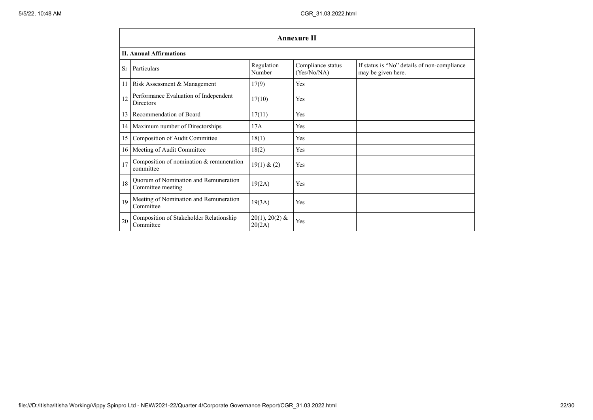|           | <b>Annexure II</b>                                         |                            |                                  |                                                                   |  |  |  |  |  |
|-----------|------------------------------------------------------------|----------------------------|----------------------------------|-------------------------------------------------------------------|--|--|--|--|--|
|           | <b>II. Annual Affirmations</b>                             |                            |                                  |                                                                   |  |  |  |  |  |
| <b>Sr</b> | Particulars                                                | Regulation<br>Number       | Compliance status<br>(Yes/No/NA) | If status is "No" details of non-compliance<br>may be given here. |  |  |  |  |  |
| 11        | Risk Assessment & Management                               | 17(9)                      | Yes                              |                                                                   |  |  |  |  |  |
| 12        | Performance Evaluation of Independent<br><b>Directors</b>  | 17(10)                     | Yes                              |                                                                   |  |  |  |  |  |
| 13        | Recommendation of Board                                    | 17(11)                     | Yes                              |                                                                   |  |  |  |  |  |
| 14        | Maximum number of Directorships                            | 17A                        | <b>Yes</b>                       |                                                                   |  |  |  |  |  |
| 15        | Composition of Audit Committee                             | 18(1)                      | Yes                              |                                                                   |  |  |  |  |  |
| 16        | Meeting of Audit Committee                                 | 18(2)                      | Yes                              |                                                                   |  |  |  |  |  |
| 17        | Composition of nomination & remuneration<br>committee      | 19(1) & (2)                | Yes                              |                                                                   |  |  |  |  |  |
| 18        | Quorum of Nomination and Remuneration<br>Committee meeting | 19(2A)                     | Yes                              |                                                                   |  |  |  |  |  |
| 19        | Meeting of Nomination and Remuneration<br>Committee        | 19(3A)                     | Yes                              |                                                                   |  |  |  |  |  |
| 20        | Composition of Stakeholder Relationship<br>Committee       | $20(1), 20(2)$ &<br>20(2A) | Yes                              |                                                                   |  |  |  |  |  |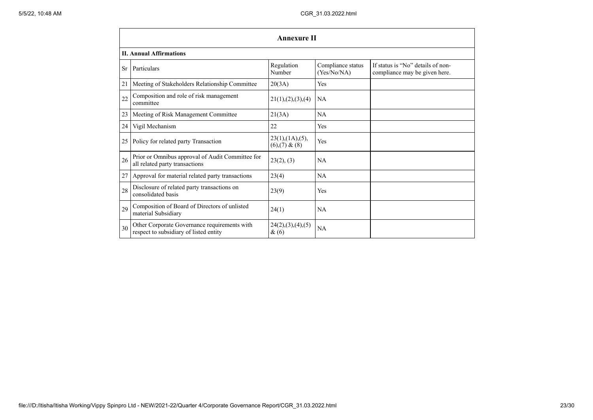|           | <b>Annexure II</b>                                                                     |                                          |                                  |                                                                    |  |  |  |  |
|-----------|----------------------------------------------------------------------------------------|------------------------------------------|----------------------------------|--------------------------------------------------------------------|--|--|--|--|
|           | <b>II. Annual Affirmations</b>                                                         |                                          |                                  |                                                                    |  |  |  |  |
| <b>Sr</b> | Particulars                                                                            | Regulation<br>Number                     | Compliance status<br>(Yes/No/NA) | If status is "No" details of non-<br>compliance may be given here. |  |  |  |  |
| 21        | Meeting of Stakeholders Relationship Committee                                         | 20(3A)                                   | Yes                              |                                                                    |  |  |  |  |
| 22        | Composition and role of risk management<br>committee                                   | 21(1), (2), (3), (4)                     | <b>NA</b>                        |                                                                    |  |  |  |  |
| 23        | Meeting of Risk Management Committee                                                   | 21(3A)                                   | NA                               |                                                                    |  |  |  |  |
| 24        | Vigil Mechanism                                                                        | 22                                       | Yes                              |                                                                    |  |  |  |  |
| 25        | Policy for related party Transaction                                                   | 23(1),(1A),(5),<br>$(6)$ , $(7)$ & $(8)$ | Yes                              |                                                                    |  |  |  |  |
| 26        | Prior or Omnibus approval of Audit Committee for<br>all related party transactions     | 23(2), (3)                               | NA                               |                                                                    |  |  |  |  |
| 27        | Approval for material related party transactions                                       | 23(4)                                    | NA                               |                                                                    |  |  |  |  |
| 28        | Disclosure of related party transactions on<br>consolidated basis                      | 23(9)                                    | Yes                              |                                                                    |  |  |  |  |
| 29        | Composition of Board of Directors of unlisted<br>material Subsidiary                   | 24(1)                                    | NA                               |                                                                    |  |  |  |  |
| 30        | Other Corporate Governance requirements with<br>respect to subsidiary of listed entity | 24(2),(3),(4),(5)<br>$\&(6)$             | NA                               |                                                                    |  |  |  |  |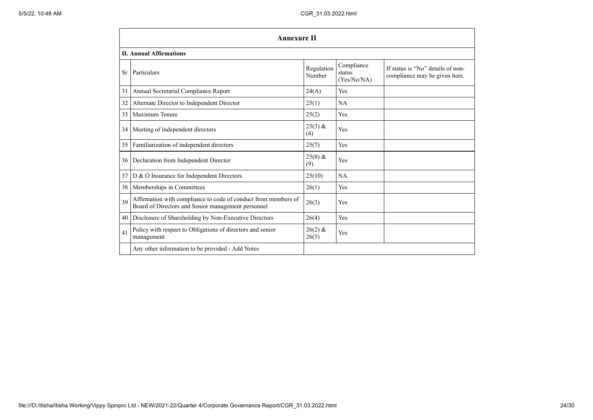- 11

|                 | <b>Annexure II</b>                                                                                                   |                      |                                     |                                                                    |  |  |  |  |
|-----------------|----------------------------------------------------------------------------------------------------------------------|----------------------|-------------------------------------|--------------------------------------------------------------------|--|--|--|--|
|                 | <b>II. Annual Affirmations</b>                                                                                       |                      |                                     |                                                                    |  |  |  |  |
| Sr              | Particulars                                                                                                          | Regulation<br>Number | Compliance<br>status<br>(Yes/No/NA) | If status is "No" details of non-<br>compliance may be given here. |  |  |  |  |
| 31              | Annual Secretarial Compliance Report                                                                                 | 24(A)                | Yes                                 |                                                                    |  |  |  |  |
| 32              | Alternate Director to Independent Director                                                                           | 25(1)                | <b>NA</b>                           |                                                                    |  |  |  |  |
| 33              | Maximum Tenure                                                                                                       | 25(2)                | Yes                                 |                                                                    |  |  |  |  |
|                 | 34 Meeting of independent directors                                                                                  | $25(3)$ &<br>(4)     | Yes                                 |                                                                    |  |  |  |  |
| 35              | Familiarization of independent directors                                                                             | 25(7)                | Yes                                 |                                                                    |  |  |  |  |
| 36 <sup>1</sup> | Declaration from Independent Director                                                                                | $25(8)$ &<br>(9)     | Yes                                 |                                                                    |  |  |  |  |
| 37              | D & O Insurance for Independent Directors                                                                            | 25(10)               | NA                                  |                                                                    |  |  |  |  |
|                 | 38   Memberships in Committees                                                                                       | 26(1)                | Yes                                 |                                                                    |  |  |  |  |
| 39              | Affirmation with compliance to code of conduct from members of<br>Board of Directors and Senior management personnel | 26(3)                | Yes                                 |                                                                    |  |  |  |  |
|                 | 40   Disclosure of Shareholding by Non-Executive Directors                                                           | 26(4)                | <b>Yes</b>                          |                                                                    |  |  |  |  |
| 41              | Policy with respect to Obligations of directors and senior<br>management                                             | $26(2)$ &<br>26(5)   | Yes                                 |                                                                    |  |  |  |  |
|                 | Any other information to be provided - Add Notes                                                                     |                      |                                     |                                                                    |  |  |  |  |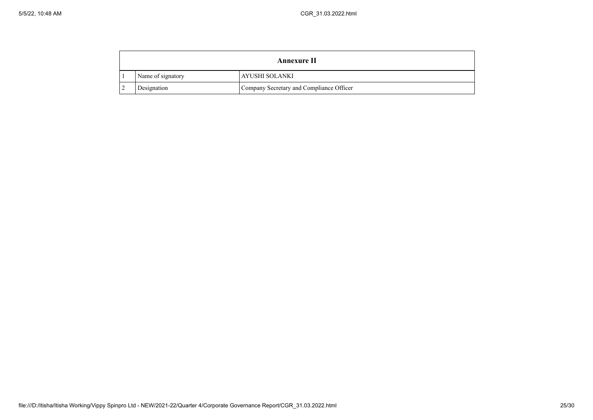| <b>Annexure II</b> |                                          |
|--------------------|------------------------------------------|
| Name of signatory  | AYUSHI SOLANKI                           |
| Designation        | Company Secretary and Compliance Officer |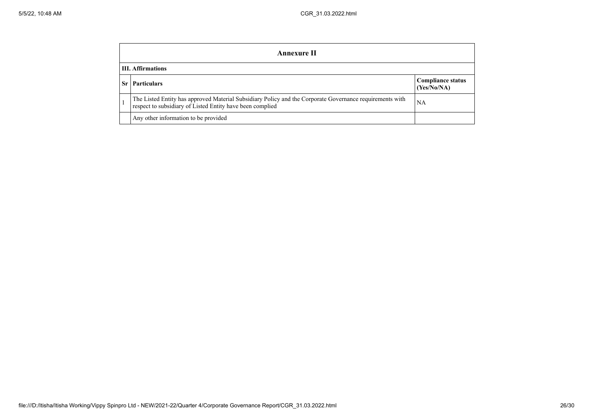|                          | Annexure II                                                                                                                                                           |                                         |  |  |  |
|--------------------------|-----------------------------------------------------------------------------------------------------------------------------------------------------------------------|-----------------------------------------|--|--|--|
| <b>III.</b> Affirmations |                                                                                                                                                                       |                                         |  |  |  |
|                          | <b>Particulars</b>                                                                                                                                                    | <b>Compliance status</b><br>(Yes/No/NA) |  |  |  |
|                          | The Listed Entity has approved Material Subsidiary Policy and the Corporate Governance requirements with<br>respect to subsidiary of Listed Entity have been complied | NA                                      |  |  |  |
|                          | Any other information to be provided                                                                                                                                  |                                         |  |  |  |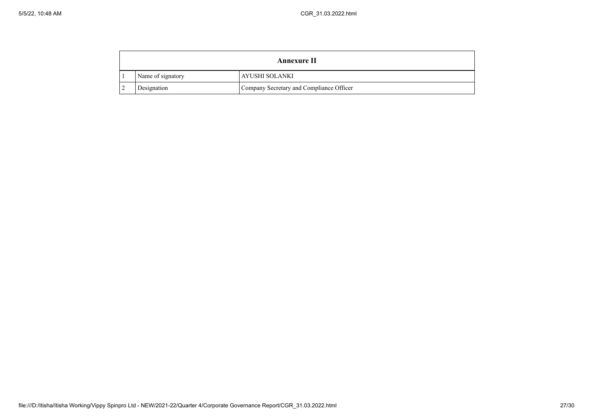| <b>Annexure II</b> |                                          |
|--------------------|------------------------------------------|
| Name of signatory  | AYUSHI SOLANKI                           |
| Designation        | Company Secretary and Compliance Officer |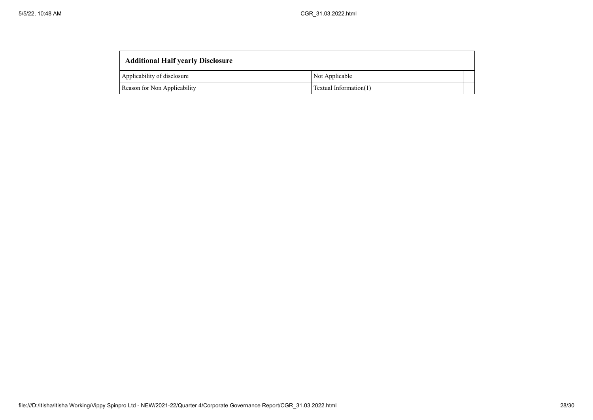| <b>Additional Half yearly Disclosure</b> |                        |
|------------------------------------------|------------------------|
| Applicability of disclosure              | Not Applicable         |
| Reason for Non Applicability             | Textual Information(1) |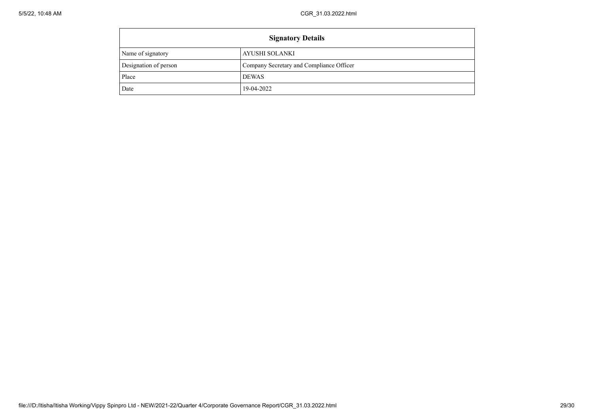$\mathbf{r}$ 

| <b>Signatory Details</b> |                                          |  |
|--------------------------|------------------------------------------|--|
| Name of signatory        | AYUSHI SOLANKI                           |  |
| Designation of person    | Company Secretary and Compliance Officer |  |
| Place                    | <b>DEWAS</b>                             |  |
| Date                     | 19-04-2022                               |  |